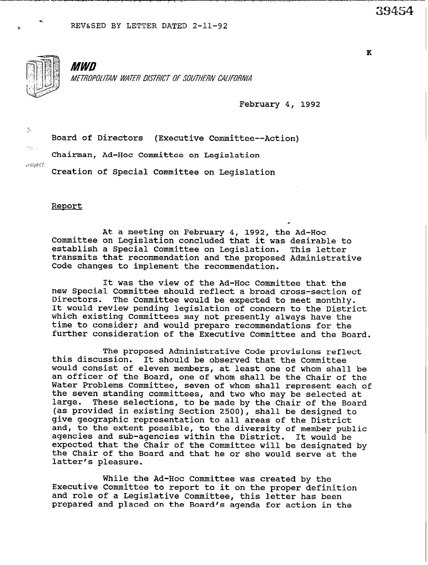

*MWD* METROPOLITAN WATER DISTRICT OF SOUTHERN CALIFORNIA

February 4, 1992

 $\mathcal{L}_2$ 

 $\phi_{\rm i}$ 

.,U/s/cCi

Board of Directors (Executive Committee--Action)

Chairman, Ad-Hoc Committee on Legislation

Creation of Special Committee on Legislation

Report

At a meeting on February 4, 1992, the Ad-Hoc Committee on Legislation concluded that it was desirable to establish a Special Committee on Legislation. This letter transmits that recommendation and the proposed Administrative Code changes to implement the recommendation.

It was the view of the Ad-Hoc Committee that the new Special Committee should reflect a broad cross-section of Directors. The Committee would be expected to meet monthly. It would review pending legislation of concern to the District which existing Committees may not presently always have the time to consider: and would prepare recommendations for the further consideration of the Executive Committee and the Board.

The proposed Administrative Code provisions reflect this discussion. It should be observed that the Committee would consist of eleven members, at least one of whom shall be an officer of the Board, one of whom shall be the Chair of the Water Problems Committee, seven of whom shall represent each of the seven standing committees, and two who may be selected at These selections, to be made by the Chair of the Board (as provided in existing Section 2500), shall be designed to give geographic representation to all areas of the District and, to the extent possible, to the diversity of member public agencies and sub-agencies within the District. It would be expected that the Chair of the Committee will be designated by the Chair of the Board and that he or she would serve at the latter's pleasure.

While the Ad-Hoc Committee was created by the Executive Committee to report to it on the proper definition and role of a Legislative Committee, this letter has been prepared and placed on the Board's agenda for action in the

39454

 $\mathbf K$ 

\_.\_\_.--\_.\_\_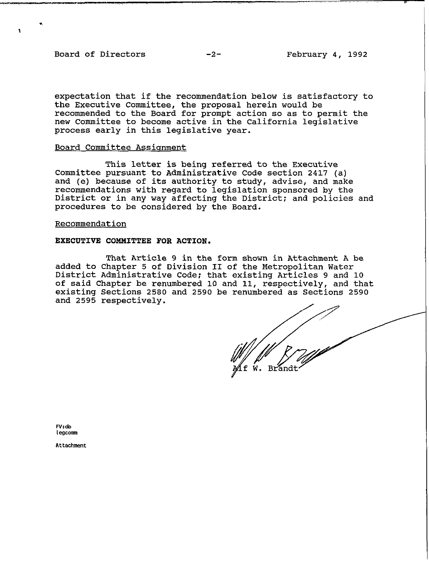Board of Directors -2- February 4, 1992

expectation that if the recommendation below is satisfactory to the Executive Committee, the proposal herein would be recommended to the Board for prompt action so as to permit the new Committee to become active in the California leqislative process early in this legislative year.

### Board Committee Assiqnment

This letter is being referred to the Executive Committee pursuant to Administrative Code section 2417 (a) and (e) because of its authority to study, advise, and make recommendations with regard to legislation sponsored by the District or in any way affecting the District: and policies and procedures to be considered by the Board.

### Recommendation

#### EXECUTIVE COMMITTEE FOR ACTION.

That Article 9 in the form shown in Attachment A be added to Chapter 5 of Division II of the Metropolitan Water District Administrative Code; that existing Articles 9 and 10 of said Chapter be renumbered 10 and 11, respectively, and that existing Sections 2580 and 2590 be renumbered as Sections 2590 and 2595 respectively.

;

W. Brandt

**FV:db legcom** 

**Attachment**